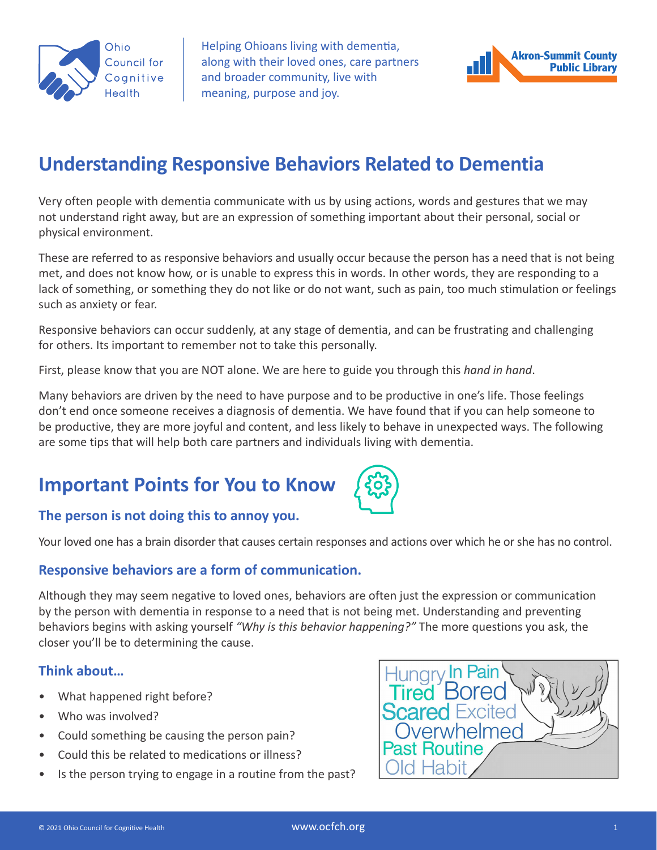

Helping Ohioans living with dementia, along with their loved ones, care partners and broader community, live with meaning, purpose and joy.



## **Understanding Responsive Behaviors Related to Dementia**

Very often people with dementia communicate with us by using actions, words and gestures that we may not understand right away, but are an expression of something important about their personal, social or physical environment.

These are referred to as responsive behaviors and usually occur because the person has a need that is not being met, and does not know how, or is unable to express this in words. In other words, they are responding to a lack of something, or something they do not like or do not want, such as pain, too much stimulation or feelings such as anxiety or fear.

Responsive behaviors can occur suddenly, at any stage of dementia, and can be frustrating and challenging for others. Its important to remember not to take this personally.

First, please know that you are NOT alone. We are here to guide you through this *hand in hand*.

Many behaviors are driven by the need to have purpose and to be productive in one's life. Those feelings don't end once someone receives a diagnosis of dementia. We have found that if you can help someone to be productive, they are more joyful and content, and less likely to behave in unexpected ways. The following are some tips that will help both care partners and individuals living with dementia.

# **Important Points for You to Know**



## **The person is not doing this to annoy you.**

Your loved one has a brain disorder that causes certain responses and actions over which he or she has no control.

## **Responsive behaviors are a form of communication.**

Although they may seem negative to loved ones, behaviors are often just the expression or communication by the person with dementia in response to a need that is not being met. Understanding and preventing behaviors begins with asking yourself *"Why is this behavior happening?"* The more questions you ask, the closer you'll be to determining the cause.

## **Think about…**

- What happened right before?
- Who was involved?
- Could something be causing the person pain?
- Could this be related to medications or illness?
- Is the person trying to engage in a routine from the past?